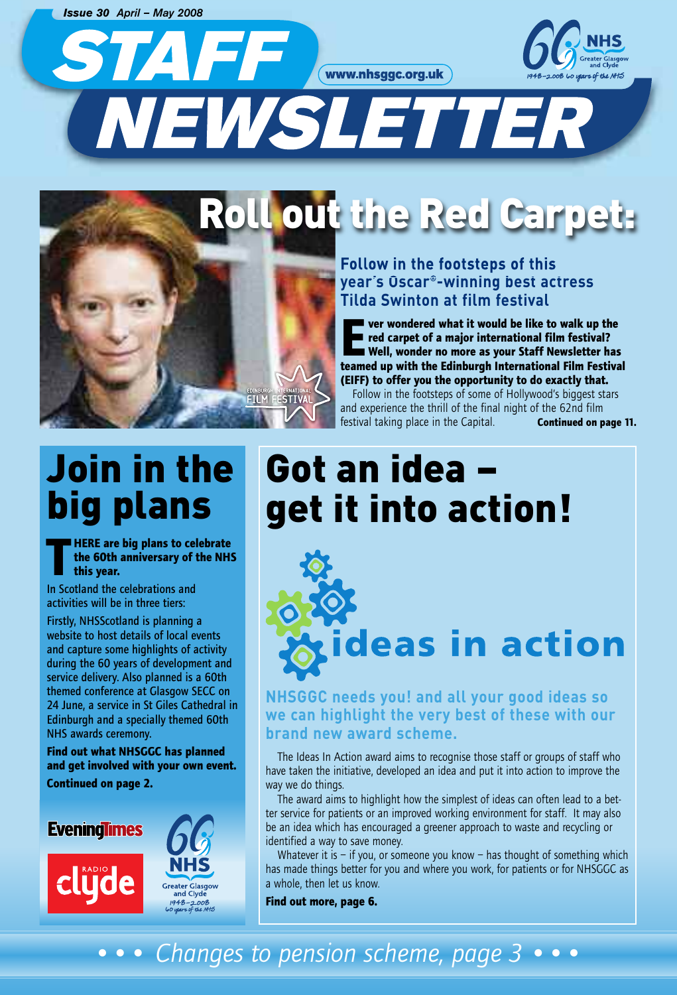*Issue 30 April – May 2008*

STAFF WWW.nhsggc.org.uk



# NEWSLETTER

# Roll out the Red Carpet:

### **Follow in the footsteps of this year's Oscar®-winning best actress Tilda Swinton at film festival**

**Ever wondered what it would be like to walk up the red carpet of a major international film festival? Well, wonder no more as your Staff Newsletter has teamed up with the Edinburgh International Film Festival (EIFF) to offer you the opportunity to do exactly that.**

Follow in the footsteps of some of Hollywood's biggest stars and experience the thrill of the final night of the 62nd film festival taking place in the Capital. **Continued on page 11.**

# Join in the big plans

**TREP are big plans to celebrate**<br>the 60th anniversary of the NH<br>this year. **the 60th anniversary of the NHS this year.**

In Scotland the celebrations and activities will be in three tiers:

Firstly, NHSScotland is planning a website to host details of local events and capture some highlights of activity during the 60 years of development and service delivery. Also planned is a 60th themed conference at Glasgow SECC on 24 June, a service in St Giles Cathedral in Edinburgh and a specially themed 60th NHS awards ceremony.

**Find out what NHSGGC has planned and get involved with your own event. Continued on page 2.**



# Got an idea –<br>get it into action!



**NHSGGC needs you! and all your good ideas so we can highlight the very best of these with our brand new award scheme.**

The Ideas In Action award aims to recognise those staff or groups of staff who have taken the initiative, developed an idea and put it into action to improve the way we do things.

The award aims to highlight how the simplest of ideas can often lead to a better service for patients or an improved working environment for staff. It may also be an idea which has encouraged a greener approach to waste and recycling or identified a way to save money.

Whatever it is  $-$  if you, or someone you know  $-$  has thought of something which has made things better for you and where you work, for patients or for NHSGGC as a whole, then let us know.

**Find out more, page 6.**

### *••• Changes to pension scheme, page 3 •••*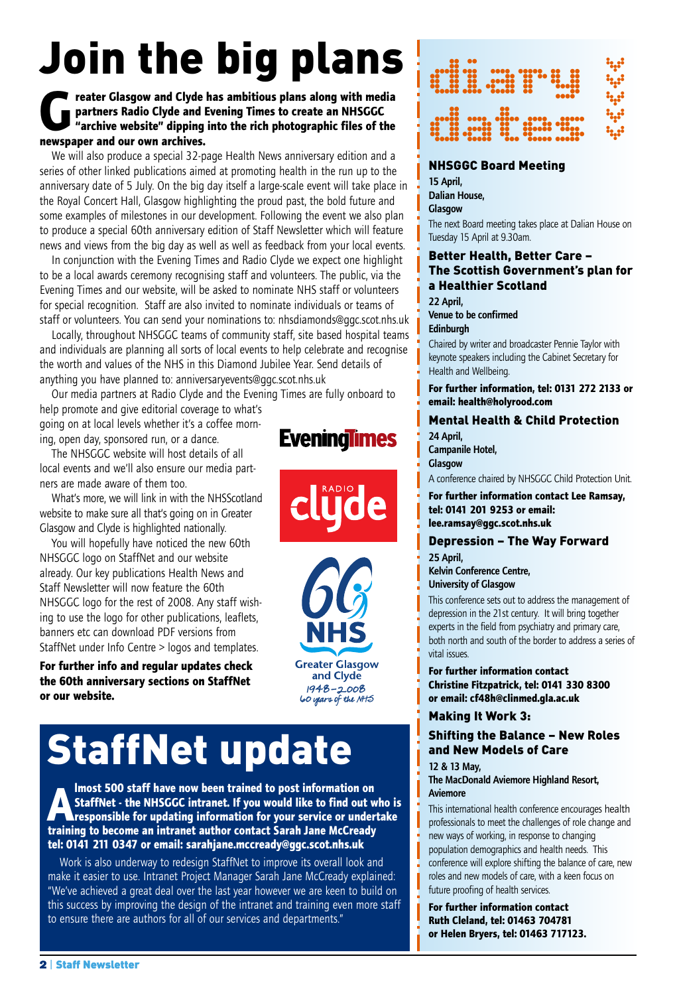# Join the big plans

### **Greater Glasgow and Clyde has ambitious plans along with media<br>partners Radio Clyde and Evening Times to create an NHSGGC<br>"archive website" dipping into the rich photographic files of the partners Radio Clyde and Evening Times to create an NHSGGC "archive website" dipping into the rich photographic files of the newspaper and our own archives.**

We will also produce a special 32-page Health News anniversary edition and a series of other linked publications aimed at promoting health in the run up to the anniversary date of 5 July. On the big day itself a large-scale event will take place in the Royal Concert Hall, Glasgow highlighting the proud past, the bold future and some examples of milestones in our development. Following the event we also plan to produce a special 60th anniversary edition of Staff Newsletter which will feature news and views from the big day as well as well as feedback from your local events.

In conjunction with the Evening Times and Radio Clyde we expect one highlight to be a local awards ceremony recognising staff and volunteers. The public, via the Evening Times and our website, will be asked to nominate NHS staff or volunteers for special recognition. Staff are also invited to nominate individuals or teams of staff or volunteers. You can send your nominations to: nhsdiamonds@ggc.scot.nhs.uk

Locally, throughout NHSGGC teams of community staff, site based hospital teams and individuals are planning all sorts of local events to help celebrate and recognise the worth and values of the NHS in this Diamond Jubilee Year. Send details of anything you have planned to: anniversaryevents@ggc.scot.nhs.uk

Our media partners at Radio Clyde and the Evening Times are fully onboard to help promote and give editorial coverage to what's going on at local levels whether it's a coffee morn-

ing, open day, sponsored run, or a dance.

The NHSGGC website will host details of all local events and we'll also ensure our media partners are made aware of them too.

What's more, we will link in with the NHSScotland website to make sure all that's going on in Greater Glasgow and Clyde is highlighted nationally.

You will hopefully have noticed the new 60th NHSGGC logo on StaffNet and our website already. Our key publications Health News and Staff Newsletter will now feature the 60th NHSGGC logo for the rest of 2008. Any staff wishing to use the logo for other publications, leaflets, banners etc can download PDF versions from StaffNet under Info Centre > logos and templates.

**For further info and regular updates check the 60th anniversary sections on StaffNet or our website.**

# StaffNet update

**Almost 500 staff have now been trained to post information on StaffNet - the NHSGGC intranet. If you would like to find out v<br>responsible for updating information for your service or under StaffNet - the NHSGGC intranet. If you would like to find out who is responsible for updating information for your service or undertake training to become an intranet author contact Sarah Jane McCready tel: 0141 211 0347 or email: sarahjane.mccready@ggc.scot.nhs.uk**

Work is also underway to redesign StaffNet to improve its overall look and make it easier to use. Intranet Project Manager Sarah Jane McCready explained: "We've achieved a great deal over the last year however we are keen to build on this success by improving the design of the intranet and training even more staff to ensure there are authors for all of our services and departments."



#### NHSGGC Board Meeting **15 April, Dalian House,**

**Glasgow**

The next Board meeting takes place at Dalian House on Tuesday 15 April at 9.30am.

### Better Health, Better Care – The Scottish Government's plan for a Healthier Scotland

**22 April, Venue to be confirmed Edinburgh**

Chaired by writer and broadcaster Pennie Taylor with keynote speakers including the Cabinet Secretary for Health and Wellbeing.

**For further information, tel: 0131 272 2133 or email: health@holyrood.com**

#### Mental Health & Child Protection **24 April,**

**Campanile Hotel,**

**Glasgow** A conference chaired by NHSGGC Child Protection Unit.

**For further information contact Lee Ramsay, tel: 0141 201 9253 or email: lee.ramsay@ggc.scot.nhs.uk**

### Depression – The Way Forward **25 April,**

**Kelvin Conference Centre,**

**University of Glasgow**

This conference sets out to address the management of depression in the 21st century. It will bring together experts in the field from psychiatry and primary care, both north and south of the border to address a series of vital issues.

**For further information contact Christine Fitzpatrick, tel: 0141 330 8300 or email: cf48h@clinmed.gla.ac.uk**

### Making It Work 3:

### Shifting the Balance – New Roles and New Models of Care

**12 & 13 May,**

**The MacDonald Aviemore Highland Resort, Aviemore**

This international health conference encourages health professionals to meet the challenges of role change and new ways of working, in response to changing population demographics and health needs. This conference will explore shifting the balance of care, new roles and new models of care, with a keen focus on future proofing of health services.

**For further information contact Ruth Cleland, tel: 01463 704781 or Helen Bryers, tel: 01463 717123.**

### **Eveninglimes**

**Greater Glasgow** and Clyde 1948–2008<br>Lo ujars of the NHS

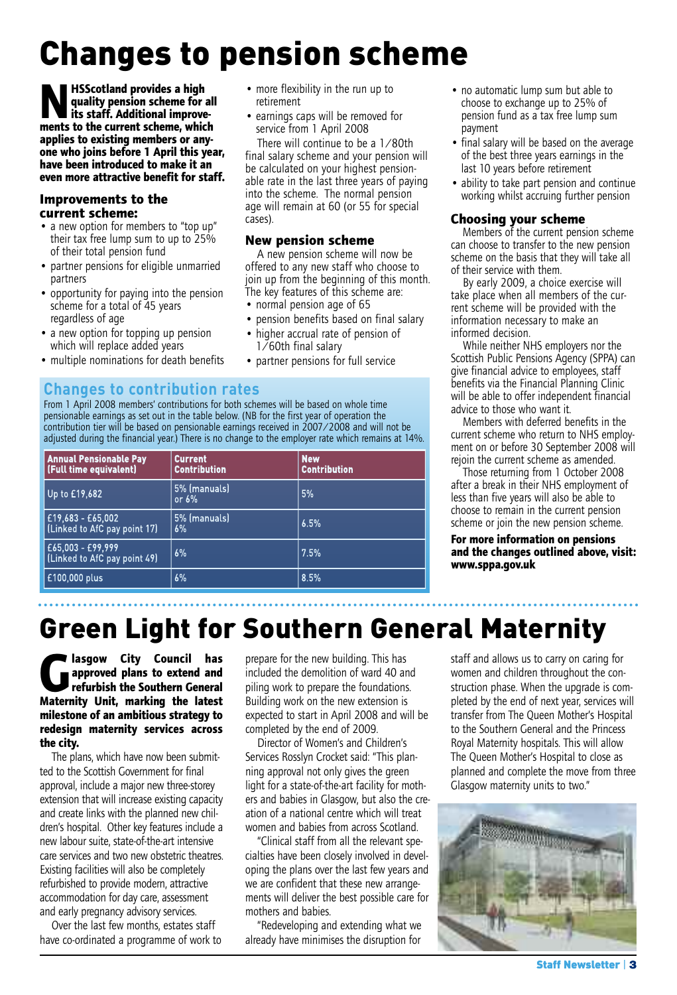# Changes to pension scheme

cases).

retirement

• more flexibility in the run up to

• earnings caps will be removed for service from 1 April 2008 There will continue to be a 1/80th final salary scheme and your pension will be calculated on your highest pensionable rate in the last three years of paying into the scheme. The normal pension age will remain at 60 (or 55 for special

**New pension scheme**

A new pension scheme will now be offered to any new staff who choose to join up from the beginning of this month. The key features of this scheme are: • normal pension age of 65

• pension benefits based on final salary • higher accrual rate of pension of 1/60th final salary • partner pensions for full service

**NHSScotland provides a high quality pension scheme for its staff. Additional improve quality pension scheme for all its staff. Additional improvements to the current scheme, which applies to existing members or anyone who joins before 1 April this year, have been introduced to make it an even more attractive benefit for staff.**

### **Improvements to the current scheme:**

- a new option for members to "top up" their tax free lump sum to up to 25% of their total pension fund
- partner pensions for eligible unmarried partners
- opportunity for paying into the pension scheme for a total of 45 years regardless of age
- a new option for topping up pension which will replace added years
- multiple nominations for death benefits

### **Changes to contribution rates**

From 1 April 2008 members' contributions for both schemes will be based on whole time pensionable earnings as set out in the table below. (NB for the first year of operation the contribution tier will be based on pensionable earnings received in 2007/2008 and will not be adjusted during the financial year.) There is no change to the employer rate which remains at 14%.

| <b>Annual Pensionable Pay</b><br><b>(Full time equivalent)</b> | <b>Current</b><br><b>Contribution</b> | <b>New</b><br><b>Contribution</b> |
|----------------------------------------------------------------|---------------------------------------|-----------------------------------|
| Up to £19,682                                                  | 5% (manuals)<br>or $6\%$              | 5%                                |
| £19,683 - £65,002<br>[Linked to AfC pay point 17]              | 5% (manuals)<br>6%                    | 6.5%                              |
| £65,003 - £99,999<br>(Linked to AfC pay point 49)              | 6%                                    | 7.5%                              |
| £100,000 plus                                                  | 6%                                    | 8.5%                              |

- no automatic lump sum but able to choose to exchange up to 25% of pension fund as a tax free lump sum payment
- final salary will be based on the average of the best three years earnings in the last 10 years before retirement
- ability to take part pension and continue working whilst accruing further pension

### **Choosing your scheme**

Members of the current pension scheme can choose to transfer to the new pension scheme on the basis that they will take all of their service with them.

By early 2009, a choice exercise will take place when all members of the current scheme will be provided with the information necessary to make an informed decision.

While neither NHS employers nor the Scottish Public Pensions Agency (SPPA) can give financial advice to employees, staff benefits via the Financial Planning Clinic will be able to offer independent financial advice to those who want it.

Members with deferred benefits in the current scheme who return to NHS employment on or before 30 September 2008 will rejoin the current scheme as amended.

Those returning from 1 October 2008 after a break in their NHS employment of less than five years will also be able to choose to remain in the current pension scheme or join the new pension scheme.

**For more information on pensions and the changes outlined above, visit: www.sppa.gov.uk**

### Green Light for Southern General Maternity

**Glasgow City Council has**<br>**Glasgow approved plans to extend and refurbish the Southern General approved plans to extend and refurbish the Southern General Maternity Unit, marking the latest milestone of an ambitious strategy to redesign maternity services across the city.**

The plans, which have now been submitted to the Scottish Government for final approval, include a major new three-storey extension that will increase existing capacity and create links with the planned new children's hospital. Other key features include a new labour suite, state-of-the-art intensive care services and two new obstetric theatres. Existing facilities will also be completely refurbished to provide modern, attractive accommodation for day care, assessment and early pregnancy advisory services.

Over the last few months, estates staff have co-ordinated a programme of work to

prepare for the new building. This has included the demolition of ward 40 and piling work to prepare the foundations. Building work on the new extension is expected to start in April 2008 and will be completed by the end of 2009.

Director of Women's and Children's Services Rosslyn Crocket said: "This planning approval not only gives the green light for a state-of-the-art facility for mothers and babies in Glasgow, but also the creation of a national centre which will treat women and babies from across Scotland.

"Clinical staff from all the relevant specialties have been closely involved in developing the plans over the last few years and we are confident that these new arrangements will deliver the best possible care for mothers and babies.

"Redeveloping and extending what we already have minimises the disruption for

staff and allows us to carry on caring for women and children throughout the construction phase. When the upgrade is completed by the end of next year, services will transfer from The Queen Mother's Hospital to the Southern General and the Princess Royal Maternity hospitals. This will allow The Queen Mother's Hospital to close as planned and complete the move from three Glasgow maternity units to two."

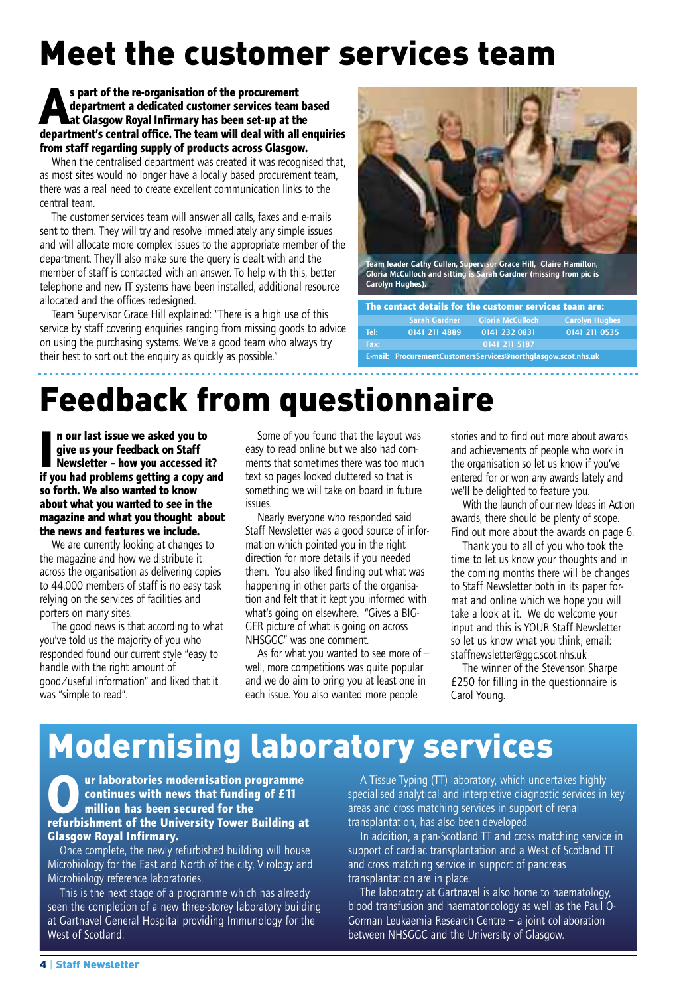# Meet the customer services team

**As part of the re-organisation of the procurement department a dedicated customer services team based at Glasgow Royal Infirmary has been set-up at the department's central office. The team will deal with all enquiries from staff regarding supply of products across Glasgow.**

When the centralised department was created it was recognised that, as most sites would no longer have a locally based procurement team, there was a real need to create excellent communication links to the central team.

The customer services team will answer all calls, faxes and e-mails sent to them. They will try and resolve immediately any simple issues and will allocate more complex issues to the appropriate member of the department. They'll also make sure the query is dealt with and the member of staff is contacted with an answer. To help with this, better telephone and new IT systems have been installed, additional resource allocated and the offices redesigned.

Team Supervisor Grace Hill explained: "There is a high use of this service by staff covering enquiries ranging from missing goods to advice on using the purchasing systems. We've a good team who always try their best to sort out the enquiry as quickly as possible."



**The contact details for the customer services team are: Sarah Gardner Gloria McCulloch Carolyn Hughes Tel: 0141 211 4889 0141 232 0831 0141 211 0535 Fax: 0141 211 5187 E-mail: ProcurementCustomersServices@northglasgow.scot.nhs.uk**

## Feedback from questionnaire

**I n our last issue we asked you to give us your feedback on Staff Newsletter – how you accessed it? if you had problems getting a copy and so forth. We also wanted to know about what you wanted to see in the magazine and what you thought about the news and features we include.**

We are currently looking at changes to the magazine and how we distribute it across the organisation as delivering copies to 44,000 members of staff is no easy task relying on the services of facilities and porters on many sites.

The good news is that according to what you've told us the majority of you who responded found our current style "easy to handle with the right amount of good/useful information" and liked that it was "simple to read".

Some of you found that the layout was easy to read online but we also had comments that sometimes there was too much text so pages looked cluttered so that is something we will take on board in future issues.

Nearly everyone who responded said Staff Newsletter was a good source of information which pointed you in the right direction for more details if you needed them. You also liked finding out what was happening in other parts of the organisation and felt that it kept you informed with what's going on elsewhere. "Gives a BIG-GER picture of what is going on across NHSGGC" was one comment.

As for what you wanted to see more of – well, more competitions was quite popular and we do aim to bring you at least one in each issue. You also wanted more people

stories and to find out more about awards and achievements of people who work in the organisation so let us know if you've entered for or won any awards lately and we'll be delighted to feature you.

With the launch of our new Ideas in Action awards, there should be plenty of scope. Find out more about the awards on page 6.

Thank you to all of you who took the time to let us know your thoughts and in the coming months there will be changes to Staff Newsletter both in its paper format and online which we hope you will take a look at it. We do welcome your input and this is YOUR Staff Newsletter so let us know what you think, email: staffnewsletter@ggc.scot.nhs.uk

The winner of the Stevenson Sharpe £250 for filling in the questionnaire is Carol Young.

### Modernising laboratory services

#### **Our laboratories modernisation programme continues with news that funding of £11 million has been secured for the refurbishment of the University Tower Building at Glasgow Royal Infirmary.**

Once complete, the newly refurbished building will house Microbiology for the East and North of the city, Virology and Microbiology reference laboratories.

This is the next stage of a programme which has already seen the completion of a new three-storey laboratory building at Gartnavel General Hospital providing Immunology for the West of Scotland.

A Tissue Typing (TT) laboratory, which undertakes highly specialised analytical and interpretive diagnostic services in key areas and cross matching services in support of renal transplantation, has also been developed.

In addition, a pan-Scotland TT and cross matching service in support of cardiac transplantation and a West of Scotland TT and cross matching service in support of pancreas transplantation are in place.

The laboratory at Gartnavel is also home to haematology, blood transfusion and haematoncology as well as the Paul O-Gorman Leukaemia Research Centre – a joint collaboration between NHSGGC and the University of Glasgow.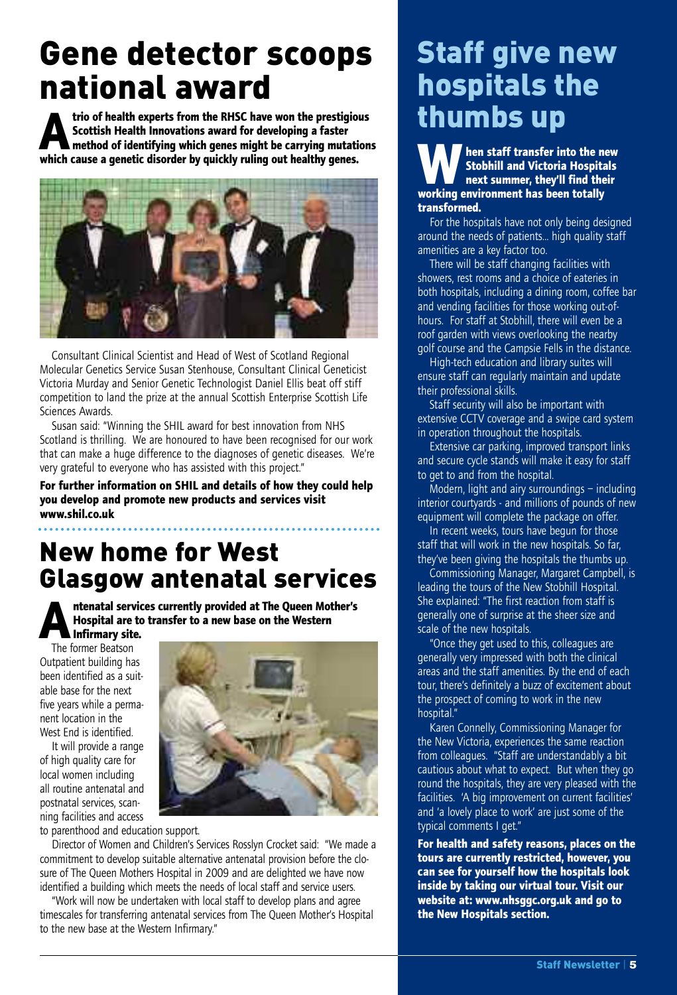### Gene detector scoops national award

trio of health experts from the RHSC have won the prestigious<br>Scottish Health Innovations award for developing a faster<br>method of identifying which genes might be carrying mutations **Scottish Health Innovations award for developing a faster which cause a genetic disorder by quickly ruling out healthy genes.**



Consultant Clinical Scientist and Head of West of Scotland Regional Molecular Genetics Service Susan Stenhouse, Consultant Clinical Geneticist Victoria Murday and Senior Genetic Technologist Daniel Ellis beat off stiff competition to land the prize at the annual Scottish Enterprise Scottish Life Sciences Awards.

Susan said: "Winning the SHIL award for best innovation from NHS Scotland is thrilling. We are honoured to have been recognised for our work that can make a huge difference to the diagnoses of genetic diseases. We're very grateful to everyone who has assisted with this project."

**For further information on SHIL and details of how they could help you develop and promote new products and services visit www.shil.co.uk**

### New home for West Glasgow antenatal services

**Antenatal services currently provided at The Queen Mother's Hospital are to transfer to a new base on the Western Infirmary site.**

The former Beatson Outpatient building has been identified as a suitable base for the next five years while a permanent location in the West End is identified.

It will provide a range of high quality care for local women including all routine antenatal and postnatal services, scanning facilities and access

to parenthood and education support.

Director of Women and Children's Services Rosslyn Crocket said: "We made a commitment to develop suitable alternative antenatal provision before the closure of The Queen Mothers Hospital in 2009 and are delighted we have now identified a building which meets the needs of local staff and service users.

"Work will now be undertaken with local staff to develop plans and agree timescales for transferring antenatal services from The Queen Mother's Hospital to the new base at the Western Infirmary."

### Staff give new hospitals the thumbs up

**When** staff transfer into the new<br>Stobhill and Victoria Hospitals<br>next summer, they'll find their **Stobhill and Victoria Hospitals next summer, they'll find their working environment has been totally transformed.**

For the hospitals have not only being designed around the needs of patients... high quality staff amenities are a key factor too.

There will be staff changing facilities with showers, rest rooms and a choice of eateries in both hospitals, including a dining room, coffee bar and vending facilities for those working out-ofhours. For staff at Stobhill, there will even be a roof garden with views overlooking the nearby golf course and the Campsie Fells in the distance.

High-tech education and library suites will ensure staff can regularly maintain and update their professional skills.

Staff security will also be important with extensive CCTV coverage and a swipe card system in operation throughout the hospitals.

Extensive car parking, improved transport links and secure cycle stands will make it easy for staff to get to and from the hospital.

Modern, light and airy surroundings – including interior courtyards - and millions of pounds of new equipment will complete the package on offer.

In recent weeks, tours have begun for those staff that will work in the new hospitals. So far, they've been giving the hospitals the thumbs up.

Commissioning Manager, Margaret Campbell, is leading the tours of the New Stobhill Hospital. She explained: "The first reaction from staff is generally one of surprise at the sheer size and scale of the new hospitals.

"Once they get used to this, colleagues are generally very impressed with both the clinical areas and the staff amenities. By the end of each tour, there's definitely a buzz of excitement about the prospect of coming to work in the new hospital."

Karen Connelly, Commissioning Manager for the New Victoria, experiences the same reaction from colleagues. "Staff are understandably a bit cautious about what to expect. But when they go round the hospitals, they are very pleased with the facilities. 'A big improvement on current facilities' and 'a lovely place to work' are just some of the typical comments I get."

**For health and safety reasons, places on the tours are currently restricted, however, you can see for yourself how the hospitals look inside by taking our virtual tour. Visit our website at: www.nhsggc.org.uk and go to the New Hospitals section.**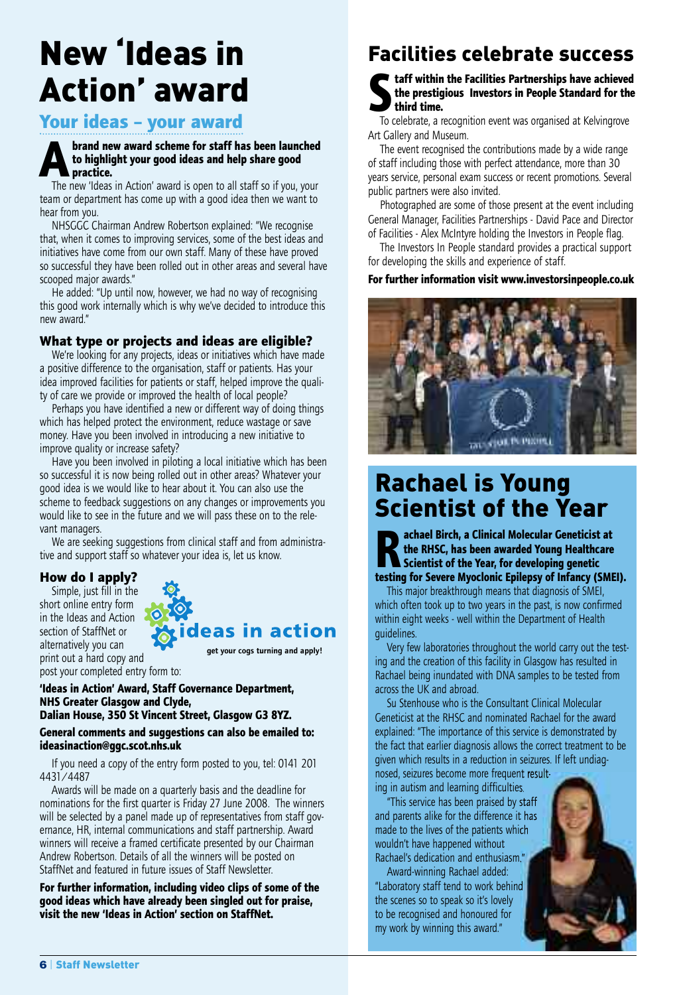# New 'Ideas in Action' award

### **Your ideas – your award**

### **Abrand new award scheme for staff has been launched**<br>to highlight your good ideas and help share good<br>practice. **to highlight your good ideas and help share good practice.**

The new 'Ideas in Action' award is open to all staff so if you, your team or department has come up with a good idea then we want to hear from you.

NHSGGC Chairman Andrew Robertson explained: "We recognise that, when it comes to improving services, some of the best ideas and initiatives have come from our own staff. Many of these have proved so successful they have been rolled out in other areas and several have scooped major awards."

He added: "Up until now, however, we had no way of recognising this good work internally which is why we've decided to introduce this new award."

### **What type or projects and ideas are eligible?**

We're looking for any projects, ideas or initiatives which have made a positive difference to the organisation, staff or patients. Has your idea improved facilities for patients or staff, helped improve the quality of care we provide or improved the health of local people?

Perhaps you have identified a new or different way of doing things which has helped protect the environment, reduce wastage or save money. Have you been involved in introducing a new initiative to improve quality or increase safety?

Have you been involved in piloting a local initiative which has been so successful it is now being rolled out in other areas? Whatever your good idea is we would like to hear about it. You can also use the scheme to feedback suggestions on any changes or improvements you would like to see in the future and we will pass these on to the relevant managers.

We are seeking suggestions from clinical staff and from administrative and support staff so whatever your idea is, let us know.

### **How do I apply?**

Simple, just fill in the short online entry form in the Ideas and Action section of StaffNet or alternatively you can print out a hard copy and post your completed entry form to:

eas in action

**get your cogs turning and apply!**

**'Ideas in Action' Award, Staff Governance Department, NHS Greater Glasgow and Clyde,**

#### **Dalian House, 350 St Vincent Street, Glasgow G3 8YZ. General comments and suggestions can also be emailed to:**

**ideasinaction@ggc.scot.nhs.uk**

If you need a copy of the entry form posted to you, tel: 0141 201 4431/4487

Awards will be made on a quarterly basis and the deadline for nominations for the first quarter is Friday 27 June 2008. The winners will be selected by a panel made up of representatives from staff governance, HR, internal communications and staff partnership. Award winners will receive a framed certificate presented by our Chairman Andrew Robertson. Details of all the winners will be posted on StaffNet and featured in future issues of Staff Newsletter.

**For further information, including video clips of some of the good ideas which have already been singled out for praise, visit the new 'Ideas in Action' section on StaffNet.**

### Facilities celebrate success

**Staff within the Facilities Partnerships have achieved the prestigious Investors in People Standard for the third time.**

To celebrate, a recognition event was organised at Kelvingrove Art Gallery and Museum.

The event recognised the contributions made by a wide range of staff including those with perfect attendance, more than 30 years service, personal exam success or recent promotions. Several public partners were also invited.

Photographed are some of those present at the event including General Manager, Facilities Partnerships - David Pace and Director of Facilities - Alex McIntyre holding the Investors in People flag.

The Investors In People standard provides a practical support for developing the skills and experience of staff.

#### **For further information visit www.investorsinpeople.co.uk**



### Rachael is Young Scientist of the Year

**Rachael Birch, <sup>a</sup> Clinical Molecular Geneticist at the RHSC, has been awarded Young Healthcare Scientist of the Year, for developing genetic testing for Severe Myoclonic Epilepsy of Infancy (SMEI).**

This major breakthrough means that diagnosis of SMEI, which often took up to two years in the past, is now confirmed within eight weeks - well within the Department of Health guidelines.

Very few laboratories throughout the world carry out the testing and the creation of this facility in Glasgow has resulted in Rachael being inundated with DNA samples to be tested from across the UK and abroad.

Su Stenhouse who is the Consultant Clinical Molecular Geneticist at the RHSC and nominated Rachael for the award explained: "The importance of this service is demonstrated by the fact that earlier diagnosis allows the correct treatment to be given which results in a reduction in seizures. If left undiagnosed, seizures become more frequent result-

ing in autism and learning difficulties.

"This service has been praised by staff and parents alike for the difference it has made to the lives of the patients which wouldn't have happened without Rachael's dedication and enthusiasm."

Award-winning Rachael added: "Laboratory staff tend to work behind the scenes so to speak so it's lovely to be recognised and honoured for my work by winning this award."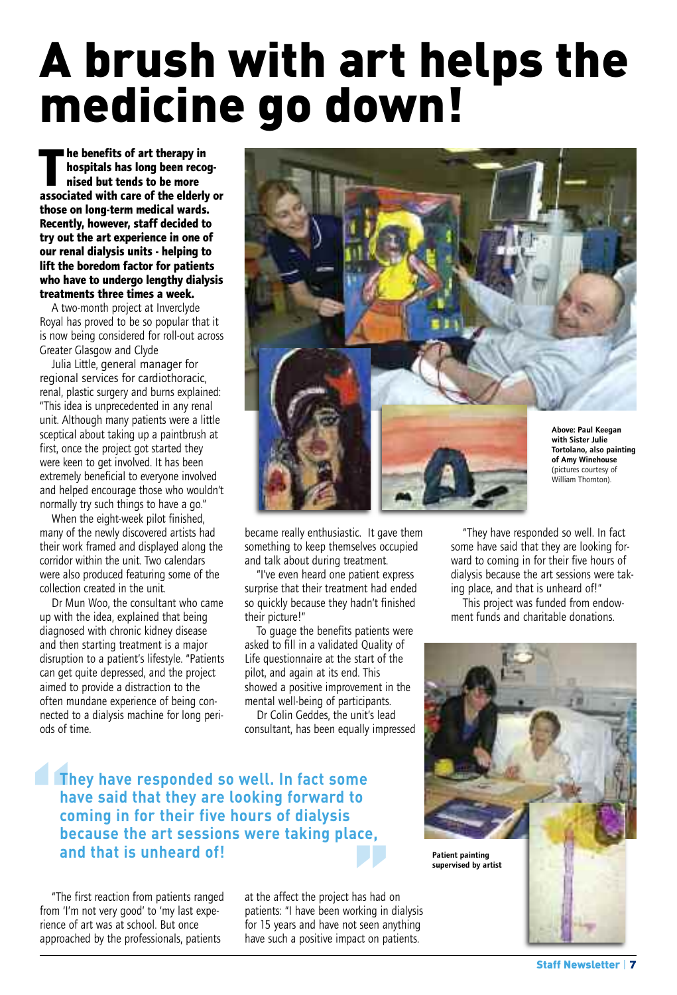# A brush with art helps the medicine go down!

**The benefits of art therapy in**<br>hospitals has long been reconsisted but tends to be more **hospitals has long been recognised but tends to be more associated with care of the elderly or those on long-term medical wards. Recently, however, staff decided to try out the art experience in one of our renal dialysis units - helping to lift the boredom factor for patients who have to undergo lengthy dialysis treatments three times a week.**

A two-month project at Inverclyde Royal has proved to be so popular that it is now being considered for roll-out across Greater Glasgow and Clyde

Julia Little, general manager for regional services for cardiothoracic, renal, plastic surgery and burns explained: "This idea is unprecedented in any renal unit. Although many patients were a little sceptical about taking up a paintbrush at first, once the project got started they were keen to get involved. It has been extremely beneficial to everyone involved and helped encourage those who wouldn't normally try such things to have a go."

When the eight-week pilot finished, many of the newly discovered artists had their work framed and displayed along the corridor within the unit. Two calendars were also produced featuring some of the collection created in the unit.

Dr Mun Woo, the consultant who came up with the idea, explained that being diagnosed with chronic kidney disease and then starting treatment is a major disruption to a patient's lifestyle. "Patients can get quite depressed, and the project aimed to provide a distraction to the often mundane experience of being connected to a dialysis machine for long periods of time.



became really enthusiastic. It gave them something to keep themselves occupied and talk about during treatment.

"I've even heard one patient express surprise that their treatment had ended so quickly because they hadn't finished their picture!"

To guage the benefits patients were asked to fill in a validated Quality of Life questionnaire at the start of the pilot, and again at its end. This showed a positive improvement in the mental well-being of participants.

Dr Colin Geddes, the unit's lead consultant, has been equally impressed

"They have responded so well. In fact some have said that they are looking forward to coming in for their five hours of dialysis because the art sessions were taking place, and that is unheard of!"

This project was funded from endowment funds and charitable donations.



### **They** have responded so well. In fact some<br>have said that they are looking forward to<br>coming in for their five hours of dialysis<br>because the art sessions were taking place<br>and that is unheard of! **have said that they are looking forward to coming in for their five hours of dialysis because the art sessions were taking place, and that is unheard of!**

"The first reaction from patients ranged from 'I'm not very good' to 'my last experience of art was at school. But once approached by the professionals, patients

**lefter**<br>
has had corking in the seen and at the affect the project has had on patients: "I have been working in dialysis for 15 years and have not seen anything have such a positive impact on patients.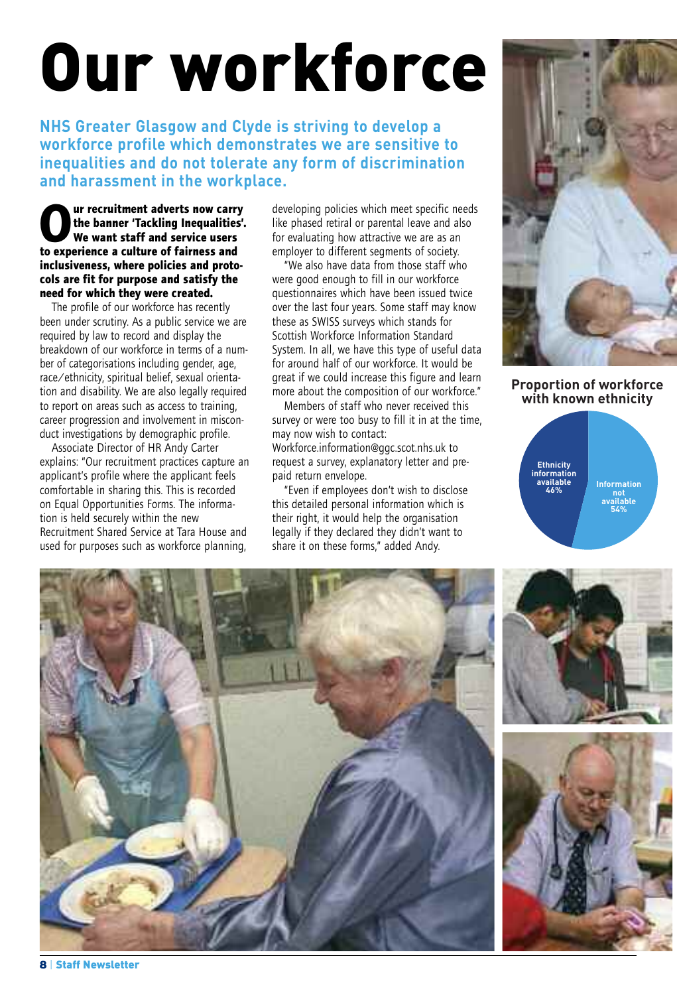# Our workforce

**NHS Greater Glasgow and Clyde is striving to develop a workforce profile which demonstrates we are sensitive to inequalities and do not tolerate any form of discrimination and harassment in the workplace.**

**Our recruitment adverts now carry the banner 'Tackling Inequalities'. We want staff and service users to experience a culture of fairness and inclusiveness, where policies and protocols are fit for purpose and satisfy the need for which they were created.**

The profile of our workforce has recently been under scrutiny. As a public service we are required by law to record and display the breakdown of our workforce in terms of a number of categorisations including gender, age, race/ethnicity, spiritual belief, sexual orientation and disability. We are also legally required to report on areas such as access to training, career progression and involvement in misconduct investigations by demographic profile.

Associate Director of HR Andy Carter explains: "Our recruitment practices capture an applicant's profile where the applicant feels comfortable in sharing this. This is recorded on Equal Opportunities Forms. The information is held securely within the new Recruitment Shared Service at Tara House and used for purposes such as workforce planning,

developing policies which meet specific needs like phased retiral or parental leave and also for evaluating how attractive we are as an employer to different segments of society.

"We also have data from those staff who were good enough to fill in our workforce questionnaires which have been issued twice over the last four years. Some staff may know these as SWISS surveys which stands for Scottish Workforce Information Standard System. In all, we have this type of useful data for around half of our workforce. It would be great if we could increase this figure and learn more about the composition of our workforce."

Members of staff who never received this survey or were too busy to fill it in at the time, may now wish to contact: Workforce.information@ggc.scot.nhs.uk to request a survey, explanatory letter and prepaid return envelope.

"Even if employees don't wish to disclose this detailed personal information which is their right, it would help the organisation legally if they declared they didn't want to share it on these forms," added Andy.



**Proportion of workforce with known ethnicity**



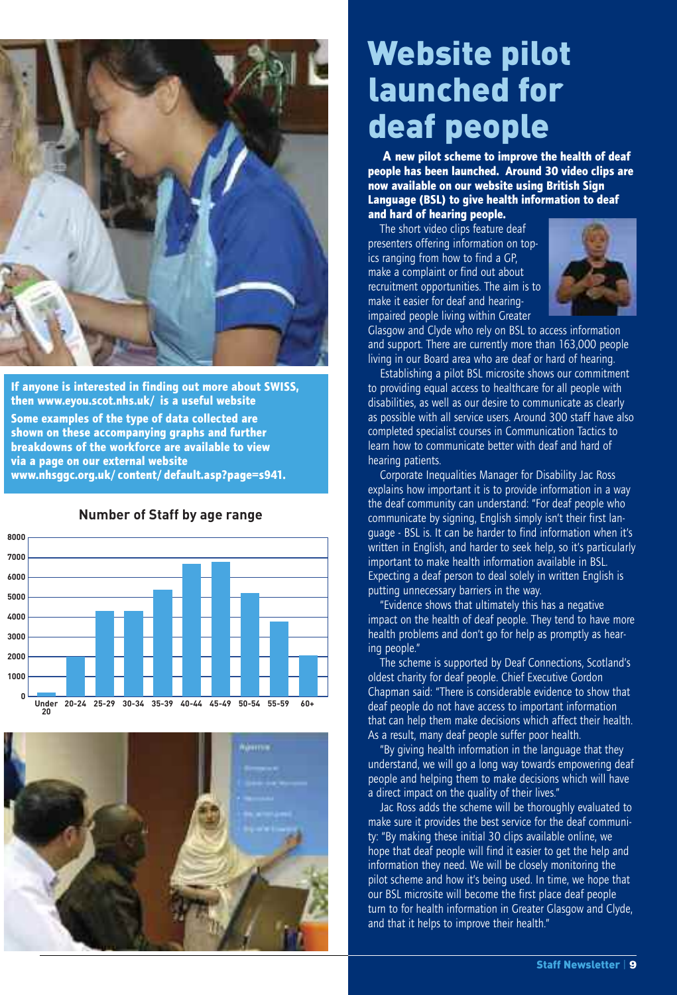

**If anyone is interested in finding out more about SWISS, then www.eyou.scot.nhs.uk/ is a useful website Some examples of the type of data collected are shown on these accompanying graphs and further breakdowns of the workforce are available to view via a page on our external website www.nhsggc.org.uk/content/default.asp?page=s941.**



**Number of Staff by age range**



## Website pilot launched for deaf people

**A new pilot scheme to improve the health of deaf people has been launched. Around 30 video clips are now available on our website using British Sign Language (BSL) to give health information to deaf and hard of hearing people.**

The short video clips feature deaf presenters offering information on topics ranging from how to find a GP, make a complaint or find out about recruitment opportunities. The aim is to make it easier for deaf and hearingimpaired people living within Greater



Glasgow and Clyde who rely on BSL to access information and support. There are currently more than 163,000 people living in our Board area who are deaf or hard of hearing.

Establishing a pilot BSL microsite shows our commitment to providing equal access to healthcare for all people with disabilities, as well as our desire to communicate as clearly as possible with all service users. Around 300 staff have also completed specialist courses in Communication Tactics to learn how to communicate better with deaf and hard of hearing patients.

Corporate Inequalities Manager for Disability Jac Ross explains how important it is to provide information in a way the deaf community can understand: "For deaf people who communicate by signing, English simply isn't their first language - BSL is. It can be harder to find information when it's written in English, and harder to seek help, so it's particularly important to make health information available in BSL. Expecting a deaf person to deal solely in written English is putting unnecessary barriers in the way.

"Evidence shows that ultimately this has a negative impact on the health of deaf people. They tend to have more health problems and don't go for help as promptly as hearing people."

The scheme is supported by Deaf Connections, Scotland's oldest charity for deaf people. Chief Executive Gordon Chapman said: "There is considerable evidence to show that deaf people do not have access to important information that can help them make decisions which affect their health. As a result, many deaf people suffer poor health.

"By giving health information in the language that they understand, we will go a long way towards empowering deaf people and helping them to make decisions which will have a direct impact on the quality of their lives."

Jac Ross adds the scheme will be thoroughly evaluated to make sure it provides the best service for the deaf community: "By making these initial 30 clips available online, we hope that deaf people will find it easier to get the help and information they need. We will be closely monitoring the pilot scheme and how it's being used. In time, we hope that our BSL microsite will become the first place deaf people turn to for health information in Greater Glasgow and Clyde, and that it helps to improve their health."

Staff Newsletter | **9**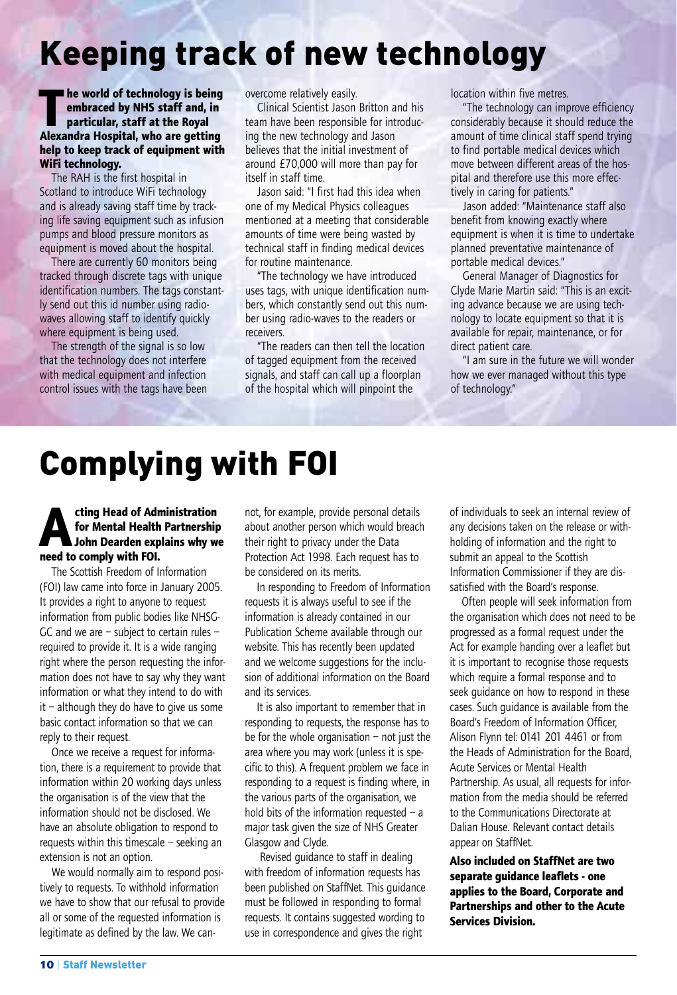# Keeping track of new technology

**T he world of technology is being embraced by NHS staff and, in particular, staff at the Royal Alexandra Hospital, who are getting help to keep track of equipment with WiFi technology.**

The RAH is the first hospital in Scotland to introduce WiFi technology and is already saving staff time by tracking life saving equipment such as infusion pumps and blood pressure monitors as equipment is moved about the hospital.

There are currently 60 monitors being tracked through discrete tags with unique identification numbers. The tags constantly send out this id number using radiowaves allowing staff to identify quickly where equipment is being used.

The strength of the signal is so low that the technology does not interfere with medical equipment and infection control issues with the tags have been overcome relatively easily.

Clinical Scientist Jason Britton and his team have been responsible for introducing the new technology and Jason believes that the initial investment of around £70,000 will more than pay for itself in staff time.

Jason said: "I first had this idea when one of my Medical Physics colleagues mentioned at a meeting that considerable amounts of time were being wasted by technical staff in finding medical devices for routine maintenance.

"The technology we have introduced uses tags, with unique identification numbers, which constantly send out this number using radio-waves to the readers or receivers.

"The readers can then tell the location of tagged equipment from the received signals, and staff can call up a floorplan of the hospital which will pinpoint the

location within five metres.

"The technology can improve efficiency considerably because it should reduce the amount of time clinical staff spend trying to find portable medical devices which move between different areas of the hospital and therefore use this more effectively in caring for patients."

Jason added: "Maintenance staff also benefit from knowing exactly where equipment is when it is time to undertake planned preventative maintenance of portable medical devices."

General Manager of Diagnostics for Clyde Marie Martin said: "This is an exciting advance because we are using technology to locate equipment so that it is available for repair, maintenance, or for direct patient care.

"I am sure in the future we will wonder how we ever managed without this type of technology."

## Complying with FOI

### **Acting Head of Administration**<br>for Mental Health Partnership<br>John Dearden explains why w **for Mental Health Partnership John Dearden explains why we need to comply with FOI.**

The Scottish Freedom of Information (FOI) law came into force in January 2005. It provides a right to anyone to request information from public bodies like NHSG-GC and we are – subject to certain rules – required to provide it. It is a wide ranging right where the person requesting the information does not have to say why they want information or what they intend to do with it – although they do have to give us some basic contact information so that we can reply to their request.

Once we receive a request for information, there is a requirement to provide that information within 20 working days unless the organisation is of the view that the information should not be disclosed. We have an absolute obligation to respond to requests within this timescale – seeking an extension is not an option.

We would normally aim to respond positively to requests. To withhold information we have to show that our refusal to provide all or some of the requested information is legitimate as defined by the law. We cannot, for example, provide personal details about another person which would breach their right to privacy under the Data Protection Act 1998. Each request has to be considered on its merits.

In responding to Freedom of Information requests it is always useful to see if the information is already contained in our Publication Scheme available through our website. This has recently been updated and we welcome suggestions for the inclusion of additional information on the Board and its services.

It is also important to remember that in responding to requests, the response has to be for the whole organisation  $-$  not just the area where you may work (unless it is specific to this). A frequent problem we face in responding to a request is finding where, in the various parts of the organisation, we hold bits of the information requested  $-$  a major task given the size of NHS Greater Glasgow and Clyde.

Revised guidance to staff in dealing with freedom of information requests has been published on StaffNet. This guidance must be followed in responding to formal requests. It contains suggested wording to use in correspondence and gives the right

of individuals to seek an internal review of any decisions taken on the release or withholding of information and the right to submit an appeal to the Scottish Information Commissioner if they are dissatisfied with the Board's response.

Often people will seek information from the organisation which does not need to be progressed as a formal request under the Act for example handing over a leaflet but it is important to recognise those requests which require a formal response and to seek guidance on how to respond in these cases. Such guidance is available from the Board's Freedom of Information Officer, Alison Flynn tel: 0141 201 4461 or from the Heads of Administration for the Board, Acute Services or Mental Health Partnership. As usual, all requests for information from the media should be referred to the Communications Directorate at Dalian House. Relevant contact details appear on StaffNet.

**Also included on StaffNet are two separate guidance leaflets - one applies to the Board, Corporate and Partnerships and other to the Acute Services Division.**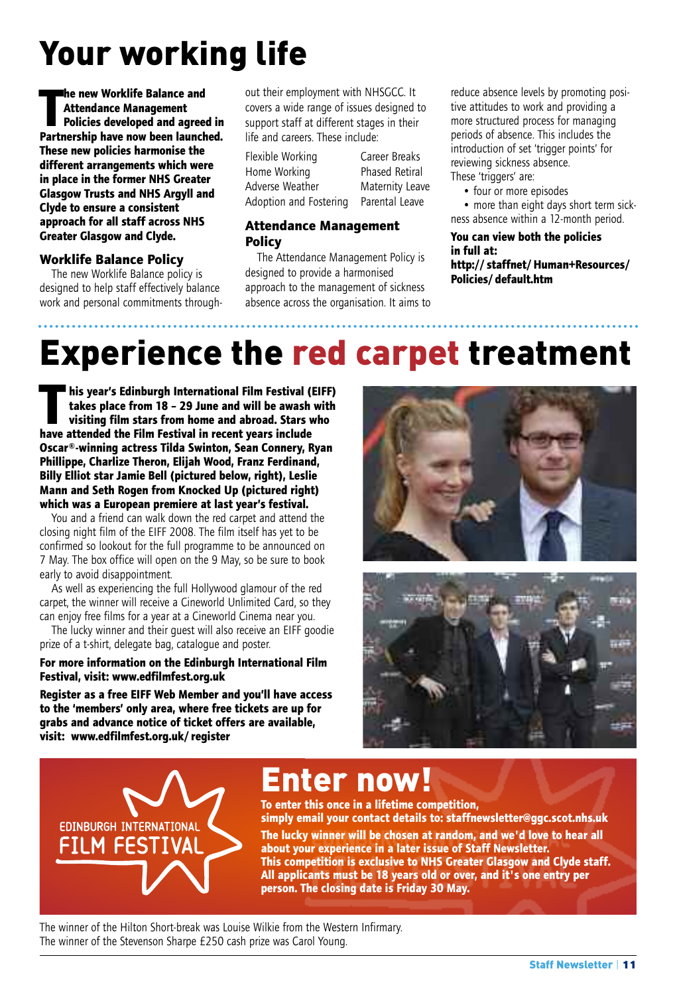# Your working life

**T he new Worklife Balance and Attendance Management Policies developed and agreed in Partnership have now been launched. These new policies harmonise the different arrangements which were in place in the former NHS Greater Glasgow Trusts and NHS Argyll and Clyde to ensure a consistent approach for all staff across NHS Greater Glasgow and Clyde.**

### **Worklife Balance Policy**

The new Worklife Balance policy is designed to help staff effectively balance work and personal commitments throughout their employment with NHSGCC. It covers a wide range of issues designed to support staff at different stages in their life and careers. These include:

Flexible Working Career Breaks Home Working Phased Retiral Adverse Weather Maternity Leave Adoption and Fostering Parental Leave

### **Attendance Management Policy**

The Attendance Management Policy is designed to provide a harmonised approach to the management of sickness absence across the organisation. It aims to reduce absence levels by promoting positive attitudes to work and providing a more structured process for managing periods of absence. This includes the introduction of set 'trigger points' for reviewing sickness absence. These 'triggers' are:

- four or more episodes
- more than eight days short term sickness absence within a 12-month period.

**You can view both the policies in full at: http://staffnet/Human+Resources/ Policies/default.htm**

# Experience the red carpet treatment

**T his year's Edinburgh International Film Festival (EIFF) takes place from 18 – 29 June and will be awash with visiting film stars from home and abroad. Stars who have attended the Film Festival in recent years include Oscar®-winning actress Tilda Swinton, Sean Connery, Ryan Phillippe, Charlize Theron, Elijah Wood, Franz Ferdinand, Billy Elliot star Jamie Bell (pictured below, right), Leslie Mann and Seth Rogen from Knocked Up (pictured right) which was a European premiere at last year's festival.**

You and a friend can walk down the red carpet and attend the closing night film of the EIFF 2008. The film itself has yet to be confirmed so lookout for the full programme to be announced on 7 May. The box office will open on the 9 May, so be sure to book early to avoid disappointment.

As well as experiencing the full Hollywood glamour of the red carpet, the winner will receive a Cineworld Unlimited Card, so they can enjoy free films for a year at a Cineworld Cinema near you.

The lucky winner and their guest will also receive an EIFF goodie prize of a t-shirt, delegate bag, catalogue and poster.

**For more information on the Edinburgh International Film Festival, visit: www.edfilmfest.org.uk**

**Register as a free EIFF Web Member and you'll have access to the 'members' only area, where free tickets are up for grabs and advance notice of ticket offers are available, visit: www.edfilmfest.org.uk/register**







### Enter now!

**To enter this once in a lifetime competition, simply email your contact details to: staffnewsletter@ggc.scot.nhs.uk The lucky winner will be chosen at random, and we'd love to hear all about your experience in a later issue of Staff Newsletter. This competition is exclusive to NHS Greater Glasgow and Clyde staff. All applicants must be 18 years old or over, and it's one entry per person. The closing date is Friday 30 May.**

The winner of the Hilton Short-break was Louise Wilkie from the Western Infirmary. The winner of the Stevenson Sharpe £250 cash prize was Carol Young.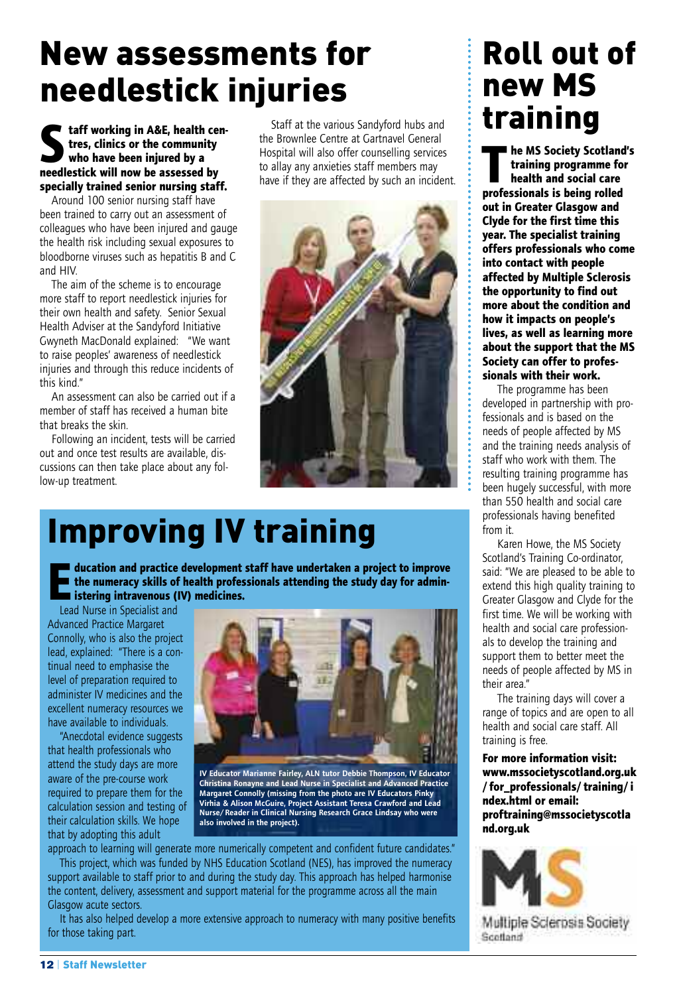## New assessments for needlestick injuries

### **Staff working in A&E, health centres, clinics or the community who have been injured by a needlestick will now be assessed by specially trained senior nursing staff.**

Around 100 senior nursing staff have been trained to carry out an assessment of colleagues who have been injured and gauge the health risk including sexual exposures to bloodborne viruses such as hepatitis B and C and HIV.

The aim of the scheme is to encourage more staff to report needlestick injuries for their own health and safety. Senior Sexual Health Adviser at the Sandyford Initiative Gwyneth MacDonald explained: "We want to raise peoples' awareness of needlestick injuries and through this reduce incidents of this kind."

An assessment can also be carried out if a member of staff has received a human bite that breaks the skin.

Following an incident, tests will be carried out and once test results are available, discussions can then take place about any follow-up treatment.

Staff at the various Sandyford hubs and the Brownlee Centre at Gartnavel General Hospital will also offer counselling services to allay any anxieties staff members may have if they are affected by such an incident.



# Improving IV training

**E ducation and practice development staff have undertaken <sup>a</sup> project to improve the numeracy skills of health professionals attending the study day for administering intravenous (IV) medicines.**

Lead Nurse in Specialist and Advanced Practice Margaret Connolly, who is also the project lead, explained: "There is a continual need to emphasise the level of preparation required to administer IV medicines and the excellent numeracy resources we have available to individuals.

"Anecdotal evidence suggests that health professionals who attend the study days are more aware of the pre-course work required to prepare them for the calculation session and testing of their calculation skills. We hope that by adopting this adult



**IV Educator Marianne Fairley, ALN tutor Debbie Thompson, IV Educator** Christina Ronayne and Lead Nurse in Specialist and Advanced Practice<br>Margaret Connolly (missing from the photo are IV Educators Pinky **Virhia & Alison McGuire, Project Assistant Teresa Crawford and Lead Nurse/Reader in Clinical Nursing Research Grace Lindsay who were also involved in the project).**

approach to learning will generate more numerically competent and confident future candidates." This project, which was funded by NHS Education Scotland (NES), has improved the numeracy

support available to staff prior to and during the study day. This approach has helped harmonise the content, delivery, assessment and support material for the programme across all the main Glasgow acute sectors.

It has also helped develop a more extensive approach to numeracy with many positive benefits for those taking part.

### Roll out of new MS training

**T he MS Society Scotland's training programme for health and social care professionals is being rolled out in Greater Glasgow and Clyde for the first time this year. The specialist training offers professionals who come into contact with people affected by Multiple Sclerosis the opportunity to find out more about the condition and how it impacts on people's lives, as well as learning more about the support that the MS Society can offer to professionals with their work.**

The programme has been developed in partnership with professionals and is based on the needs of people affected by MS and the training needs analysis of staff who work with them. The resulting training programme has been hugely successful, with more than 550 health and social care professionals having benefited from it.

Karen Howe, the MS Society Scotland's Training Co-ordinator, said: "We are pleased to be able to extend this high quality training to Greater Glasgow and Clyde for the first time. We will be working with health and social care professionals to develop the training and support them to better meet the needs of people affected by MS in their area."

The training days will cover a range of topics and are open to all health and social care staff. All training is free.

**For more information visit: www.mssocietyscotland.org.uk /for\_professionals/training/i ndex.html or email: proftraining@mssocietyscotla nd.org.uk**



Multiple Sclerosis Society Scotland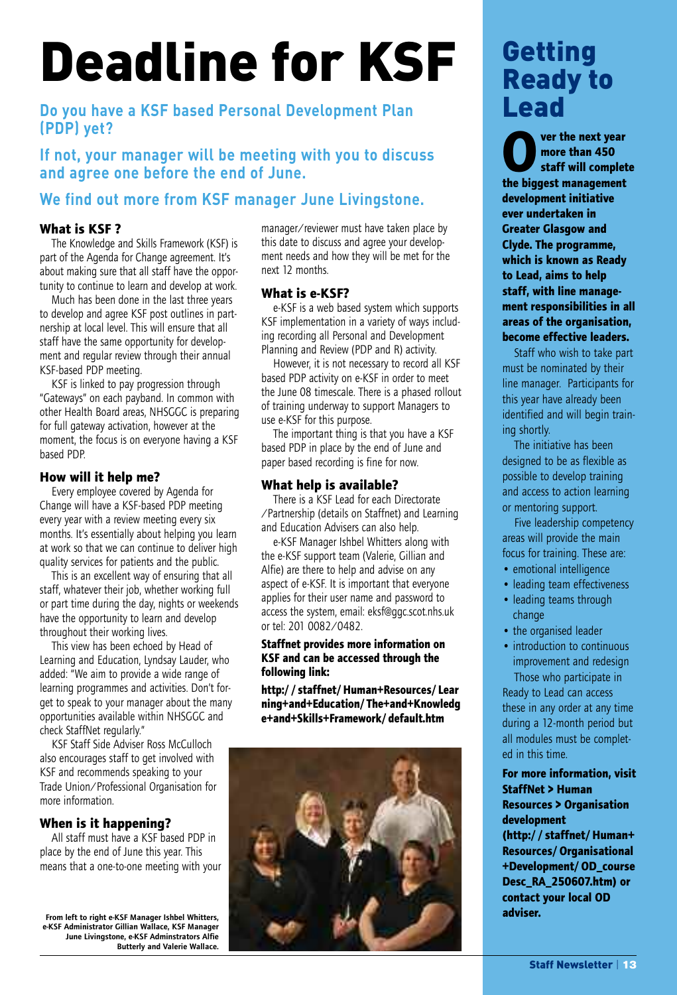# Deadline for KSF Getting

### **Do you have a KSF based Personal Development Plan (PDP) yet?**

**If not, your manager will be meeting with you to discuss and agree one before the end of June.**

### **We find out more from KSF manager June Livingstone.**

### **What is KSF ?**

The Knowledge and Skills Framework (KSF) is part of the Agenda for Change agreement. It's about making sure that all staff have the opportunity to continue to learn and develop at work.

Much has been done in the last three years to develop and agree KSF post outlines in partnership at local level. This will ensure that all staff have the same opportunity for development and regular review through their annual KSF-based PDP meeting.

KSF is linked to pay progression through "Gateways" on each payband. In common with other Health Board areas, NHSGGC is preparing for full gateway activation, however at the moment, the focus is on everyone having a KSF based PDP.

### **How will it help me?**

Every employee covered by Agenda for Change will have a KSF-based PDP meeting every year with a review meeting every six months. It's essentially about helping you learn at work so that we can continue to deliver high quality services for patients and the public.

This is an excellent way of ensuring that all staff, whatever their job, whether working full or part time during the day, nights or weekends have the opportunity to learn and develop throughout their working lives.

This view has been echoed by Head of Learning and Education, Lyndsay Lauder, who added: "We aim to provide a wide range of learning programmes and activities. Don't forget to speak to your manager about the many opportunities available within NHSGGC and check StaffNet regularly."

KSF Staff Side Adviser Ross McCulloch also encourages staff to get involved with KSF and recommends speaking to your Trade Union/Professional Organisation for more information.

### **When is it happening?**

All staff must have a KSF based PDP in place by the end of June this year. This means that a one-to-one meeting with your

From left to right e-KSF Manager Ishbel Whitters,<br>e-KSF Administrator Gillian Wallace, KSF Manager<br>June Livingstone, e-KSF Adminstrators Alfie **Butterly and Valerie Wallace.** manager/reviewer must have taken place by this date to discuss and agree your development needs and how they will be met for the next 12 months.

### **What is e-KSF?**

e-KSF is a web based system which supports KSF implementation in a variety of ways including recording all Personal and Development Planning and Review (PDP and R) activity.

However, it is not necessary to record all KSF based PDP activity on e-KSF in order to meet the June 08 timescale. There is a phased rollout of training underway to support Managers to use e-KSF for this purpose.

The important thing is that you have a KSF based PDP in place by the end of June and paper based recording is fine for now.

### **What help is available?**

There is a KSF Lead for each Directorate /Partnership (details on Staffnet) and Learning and Education Advisers can also help.

e-KSF Manager Ishbel Whitters along with the e-KSF support team (Valerie, Gillian and Alfie) are there to help and advise on any aspect of e-KSF. It is important that everyone applies for their user name and password to access the system, email: eksf@ggc.scot.nhs.uk or tel: 201 0082/0482.

#### **Staffnet provides more information on KSF and can be accessed through the following link:**

**http://staffnet/Human+Resources/Lear ning+and+Education/The+and+Knowledg e+and+Skills+Framework/default.htm**



# Ready to Lead

**Over the next year staff will complete more than 450 the biggest management development initiative ever undertaken in Greater Glasgow and Clyde. The programme, which is known as Ready to Lead, aims to help staff, with line management responsibilities in all areas of the organisation, become effective leaders.**

Staff who wish to take part must be nominated by their line manager. Participants for this year have already been identified and will begin training shortly.

The initiative has been designed to be as flexible as possible to develop training and access to action learning or mentoring support.

Five leadership competency areas will provide the main focus for training. These are:

- emotional intelligence
- leading team effectiveness
- leading teams through change
- the organised leader
- introduction to continuous improvement and redesign Those who participate in

Ready to Lead can access these in any order at any time during a 12-month period but all modules must be completed in this time.

### **For more information, visit StaffNet > Human Resources > Organisation development**

**(http://staffnet/Human+ Resources/Organisational +Development/OD\_course Desc\_RA\_250607.htm) or contact your local OD adviser.**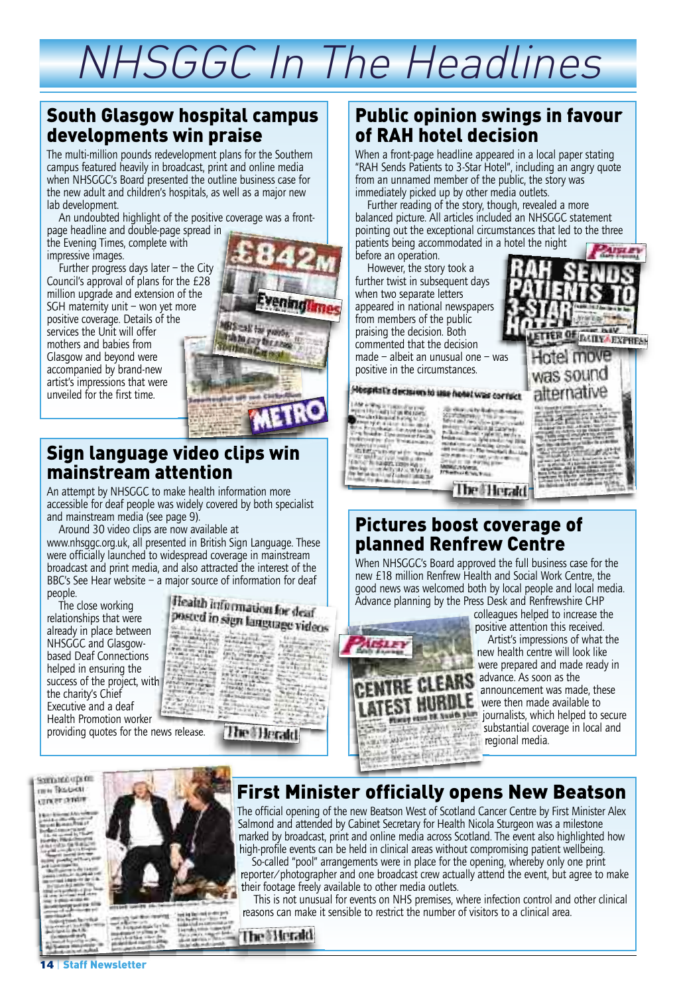# NHSGGC In The Headlines

### South Glasgow hospital campus developments win praise

The multi-million pounds redevelopment plans for the Southern campus featured heavily in broadcast, print and online media when NHSGGC's Board presented the outline business case for the new adult and children's hospitals, as well as a major new lab development.

An undoubted highlight of the positive coverage was a frontpage headline and double-page spread in

the Evening Times, complete with impressive images.

Further progress days later – the City Council's approval of plans for the £28 million upgrade and extension of the SGH maternity unit – won yet more positive coverage. Details of the services the Unit will offer mothers and babies from Glasgow and beyond were accompanied by brand-new artist's impressions that were unveiled for the first time.



### Sign language video clips win mainstream attention

An attempt by NHSGGC to make health information more accessible for deaf people was widely covered by both specialist and mainstream media (see page 9).

Around 30 video clips are now available at

www.nhsggc.org.uk, all presented in British Sign Language. These were officially launched to widespread coverage in mainstream broadcast and print media, and also attracted the interest of the BBC's See Hear website – a major source of information for deaf people.

The close working relationships that were already in place between NHSGGC and Glasgowbased Deaf Connections helped in ensuring the success of the project, with the charity's Chief Executive and a deaf Health Promotion worker providing quotes for the news release.



### Public opinion swings in favour of RAH hotel decision

When a front-page headline appeared in a local paper stating "RAH Sends Patients to 3-Star Hotel", including an angry quote from an unnamed member of the public, the story was immediately picked up by other media outlets.

Further reading of the story, though, revealed a more balanced picture. All articles included an NHSGGC statement pointing out the exceptional circumstances that led to the three patients being accommodated in a hotel the night

before an operation. However, the story took a

entered and the state of the company of the company of the company of the company of the company of the company of the company of the company of the company of the company of the company of the company of the company of th

The Control Section of the Control Section<br>1965 - The Control Section of the Control Section of the Control Section of the Control<br>2006 - The Control Section of the Control Section of the Control Section of the Control Sec

#### **AISLEY** further twist in subsequent days when two separate letters appeared in national newspapers from members of the public praising the decision. Both TER OF BUILT EXPRESS commented that the decision made – albeit an unusual one – was ntel move positive in the circumstances. was sound Mospital's decision to use hotel was correct alternative Printed Board iar sida<br>Internet **Politica ext**

### Pictures boost coverage of planned Renfrew Centre

When NHSGGC's Board approved the full business case for the new £18 million Renfrew Health and Social Work Centre, the good news was welcomed both by local people and local media. Advance planning by the Press Desk and Renfrewshire CHP

**The Herald** 



colleagues helped to increase the positive attention this received.

Artist's impressions of what the new health centre will look like were prepared and made ready in **RE CLEARS** advance. As soon as the announcement was made, these THURDLE were then made available to journalists, which helped to secure substantial coverage in local and regional media.

warround upon **INN RELIGIT** uncer poster



Salmond and attended by Cabinet Secretary for Health Nicola Sturgeon was a milestone marked by broadcast, print and online media across Scotland. The event also highlighted how high-profile events can be held in clinical areas without compromising patient wellbeing.

So-called "pool" arrangements were in place for the opening, whereby only one print reporter/photographer and one broadcast crew actually attend the event, but agree to make their footage freely available to other media outlets.

This is not unusual for events on NHS premises, where infection control and other clinical reasons can make it sensible to restrict the number of visitors to a clinical area.

### **The Herald**

**Newsletter**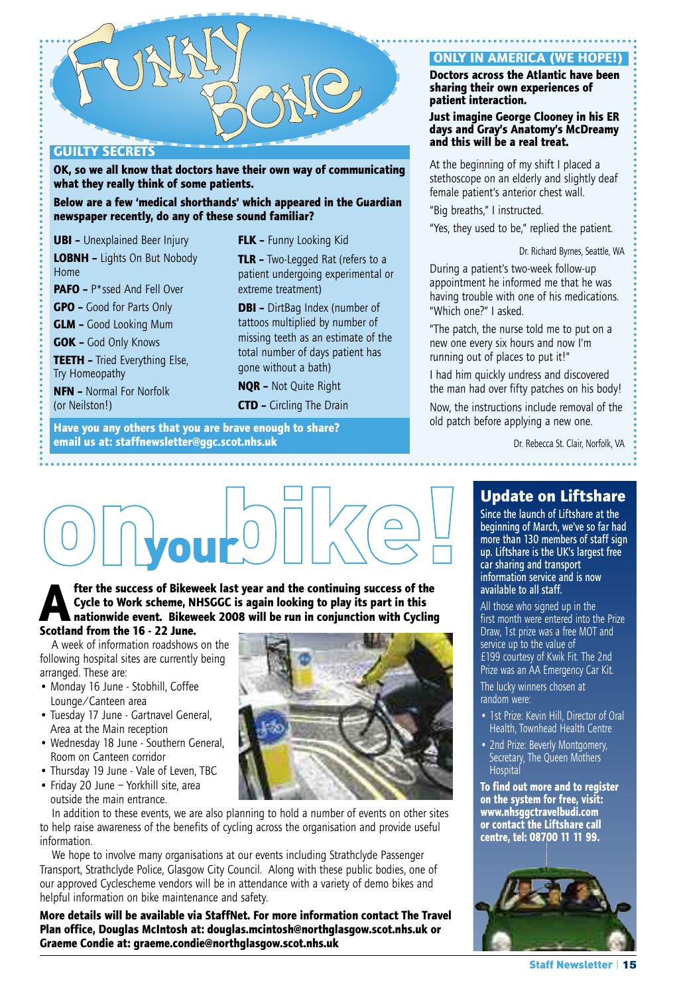

### **GUILTY SECRETS**

**OK, so we all know that doctors have their own way of communicating what they really think of some patients.**

**Below are a few 'medical shorthands' which appeared in the Guardian newspaper recently, do any of these sound familiar?**

**UBI –** Unexplained Beer Injury

**LOBNH –** Lights On But Nobody Home

**PAFO –** P\*ssed And Fell Over

**GPO –** Good for Parts Only

**GLM –** Good Looking Mum

**GOK –** God Only Knows

**TEETH –** Tried Everything Else, Try Homeopathy

**NFN –** Normal For Norfolk (or Neilston!)

**FLK –** Funny Looking Kid

**TLR –** Two-Legged Rat (refers to a patient undergoing experimental or extreme treatment)

**DBI –** DirtBag Index (number of tattoos multiplied by number of missing teeth as an estimate of the total number of days patient has gone without a bath)

**NQR –** Not Quite Right

**CTD –** Circling The Drain

**Have you any others that you are brave enough to share? email us at: staffnewsletter@ggc.scot.nhs.uk**

### **ONLY IN AMERICA (WE HOPE!)**

#### **Doctors across the Atlantic have been sharing their own experiences of patient interaction.**

#### **Just imagine George Clooney in his ER days and Gray's Anatomy's McDreamy and this will be a real treat.**

At the beginning of my shift I placed a stethoscope on an elderly and slightly deaf female patient's anterior chest wall.

"Big breaths," I instructed.

"Yes, they used to be," replied the patient.

Dr. Richard Byrnes, Seattle, WA

During a patient's two-week follow-up appointment he informed me that he was having trouble with one of his medications. "Which one?" I asked.

"The patch, the nurse told me to put on a new one every six hours and now I'm running out of places to put it!"

I had him quickly undress and discovered the man had over fifty patches on his body! Now, the instructions include removal of the old patch before applying a new one.

> Dr. Rebecca St. Clair, Norfolk, VA . . . . . . . . . . . . . .



**After the success of Bikeweek last year and the continuing success of the Cycle to Work scheme, NHSGGC is again looking to play its part in this nationwide event. Bikeweek 2008 will be run in conjunction with Cycling Scotland from the 16 - 22 June.**

#### A week of information roadshows on the following hospital sites are currently being arranged. These are:

- Monday 16 June Stobhill, Coffee Lounge/Canteen area
- Tuesday 17 June Gartnavel General, Area at the Main reception
- Wednesday 18 June Southern General, Room on Canteen corridor
- Thursday 19 June Vale of Leven, TBC
- Friday 20 June Yorkhill site, area outside the main entrance.

In addition to these events, we are also planning to hold a number of events on other sites to help raise awareness of the benefits of cycling across the organisation and provide useful information.

We hope to involve many organisations at our events including Strathclyde Passenger Transport, Strathclyde Police, Glasgow City Council. Along with these public bodies, one of our approved Cyclescheme vendors will be in attendance with a variety of demo bikes and helpful information on bike maintenance and safety.

**More details will be available via StaffNet. For more information contact The Travel Plan office, Douglas McIntosh at: douglas.mcintosh@northglasgow.scot.nhs.uk or Graeme Condie at: graeme.condie@northglasgow.scot.nhs.uk**

### **Update on Liftshare**

Since the launch of Liftshare at the beginning of March, we've so far had more than 130 members of staff sign up. Liftshare is the UK's largest free car sharing and transport information service and is now available to all staff.

All those who signed up in the first month were entered into the Prize Draw, 1st prize was a free MOT and service up to the value of £199 courtesy of Kwik Fit. The 2nd Prize was an AA Emergency Car Kit.

The lucky winners chosen at random were:

- 1st Prize: Kevin Hill, Director of Oral Health, Townhead Health Centre
- 2nd Prize: Beverly Montgomery, Secretary, The Queen Mothers **Hospita**

**To find out more and to register on the system for free, visit: www.nhsggctravelbudi.com or contact the Liftshare call centre, tel: 08700 11 11 99.**